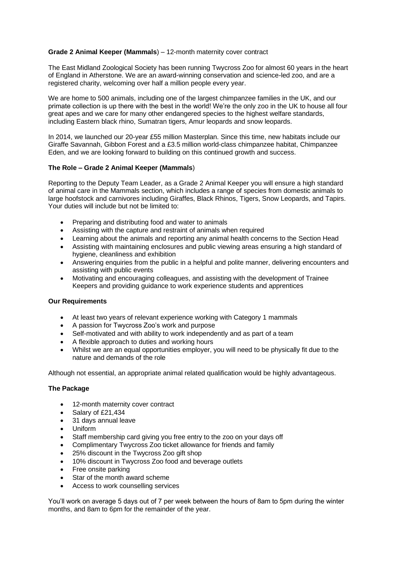# **Grade 2 Animal Keeper (Mammals**) – 12-month maternity cover contract

The East Midland Zoological Society has been running Twycross Zoo for almost 60 years in the heart of England in Atherstone. We are an award-winning conservation and science-led zoo, and are a registered charity, welcoming over half a million people every year.

We are home to 500 animals, including one of the largest chimpanzee families in the UK, and our primate collection is up there with the best in the world! We're the only zoo in the UK to house all four great apes and we care for many other endangered species to the highest welfare standards, including Eastern black rhino, Sumatran tigers, Amur leopards and snow leopards.

In 2014, we launched our 20-year £55 million Masterplan. Since this time, new habitats include our Giraffe Savannah, Gibbon Forest and a £3.5 million world-class chimpanzee habitat, Chimpanzee Eden, and we are looking forward to building on this continued growth and success.

# **The Role – Grade 2 Animal Keeper (Mammals**)

Reporting to the Deputy Team Leader, as a Grade 2 Animal Keeper you will ensure a high standard of animal care in the Mammals section, which includes a range of species from domestic animals to large hoofstock and carnivores including Giraffes, Black Rhinos, Tigers, Snow Leopards, and Tapirs. Your duties will include but not be limited to:

- Preparing and distributing food and water to animals
- Assisting with the capture and restraint of animals when required
- Learning about the animals and reporting any animal health concerns to the Section Head
- Assisting with maintaining enclosures and public viewing areas ensuring a high standard of hygiene, cleanliness and exhibition
- Answering enquiries from the public in a helpful and polite manner, delivering encounters and assisting with public events
- Motivating and encouraging colleagues, and assisting with the development of Trainee Keepers and providing guidance to work experience students and apprentices

# **Our Requirements**

- At least two years of relevant experience working with Category 1 mammals
- A passion for Twycross Zoo's work and purpose
- Self-motivated and with ability to work independently and as part of a team
- A flexible approach to duties and working hours
- Whilst we are an equal opportunities employer, you will need to be physically fit due to the nature and demands of the role

Although not essential, an appropriate animal related qualification would be highly advantageous.

# **The Package**

- 12-month maternity cover contract
- Salary of £21,434
- 31 days annual leave
- Uniform
- Staff membership card giving you free entry to the zoo on your days off
- Complimentary Twycross Zoo ticket allowance for friends and family
- 25% discount in the Twycross Zoo gift shop
- 10% discount in Twycross Zoo food and beverage outlets
- Free onsite parking
- Star of the month award scheme
- Access to work counselling services

You'll work on average 5 days out of 7 per week between the hours of 8am to 5pm during the winter months, and 8am to 6pm for the remainder of the year.